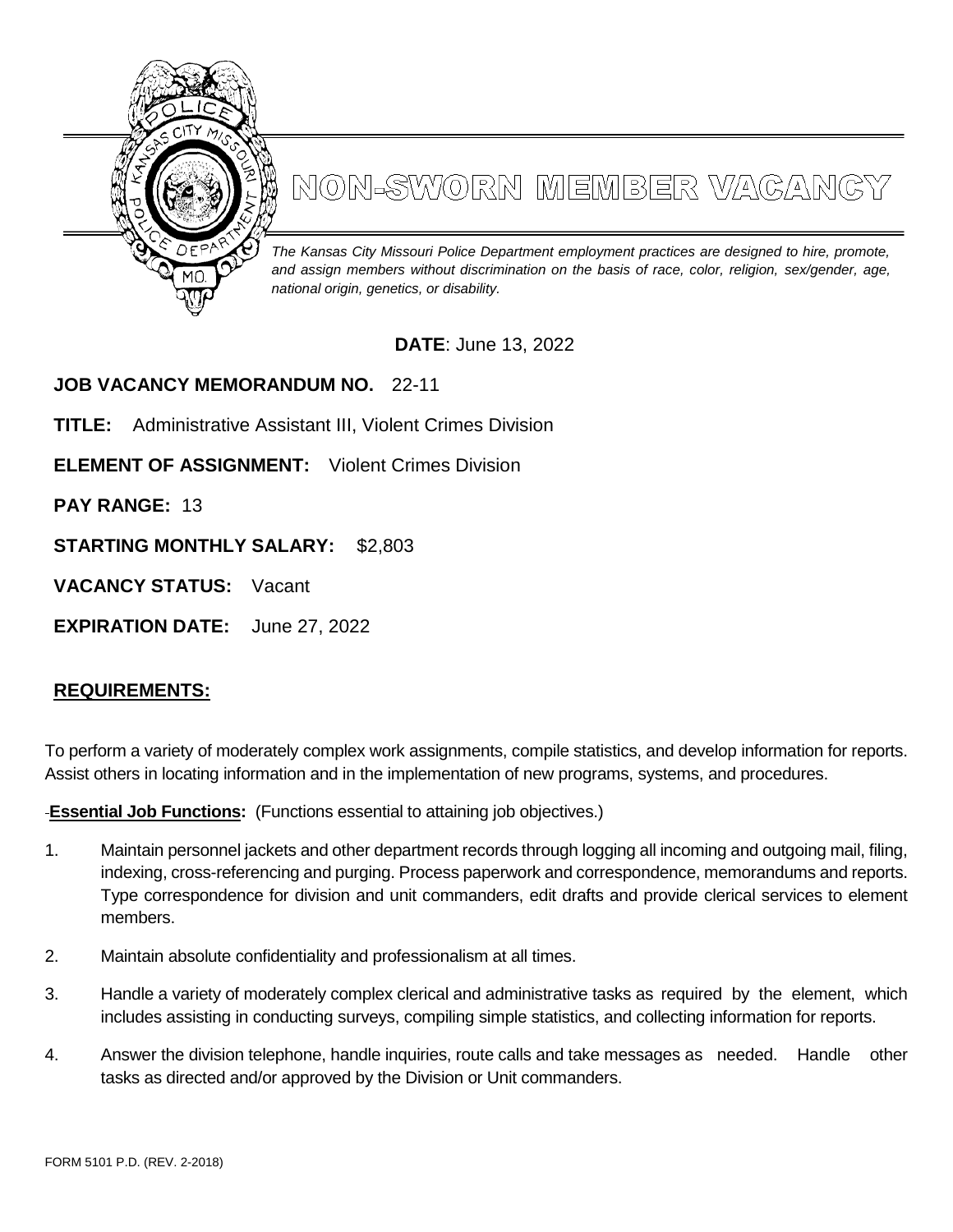

## NON-SWORN MEMBER VAGANGY

*The Kansas City Missouri Police Department employment practices are designed to hire, promote, and assign members without discrimination on the basis of race, color, religion, sex/gender, age, national origin, genetics, or disability.*

## **DATE**: June 13, 2022

**JOB VACANCY MEMORANDUM NO.** 22-11

**TITLE:** Administrative Assistant III, Violent Crimes Division

**ELEMENT OF ASSIGNMENT:** Violent Crimes Division

**PAY RANGE:** 13

**STARTING MONTHLY SALARY:** \$2,803

**VACANCY STATUS:** Vacant

**EXPIRATION DATE:** June 27, 2022

## **REQUIREMENTS:**

To perform a variety of moderately complex work assignments, compile statistics, and develop information for reports. Assist others in locating information and in the implementation of new programs, systems, and procedures.

**Essential Job Functions:** (Functions essential to attaining job objectives.)

- 1. Maintain personnel jackets and other department records through logging all incoming and outgoing mail, filing, indexing, cross-referencing and purging. Process paperwork and correspondence, memorandums and reports. Type correspondence for division and unit commanders, edit drafts and provide clerical services to element members.
- 2. Maintain absolute confidentiality and professionalism at all times.
- 3. Handle a variety of moderately complex clerical and administrative tasks as required by the element, which includes assisting in conducting surveys, compiling simple statistics, and collecting information for reports.
- 4. Answer the division telephone, handle inquiries, route calls and take messages as needed. Handle other tasks as directed and/or approved by the Division or Unit commanders.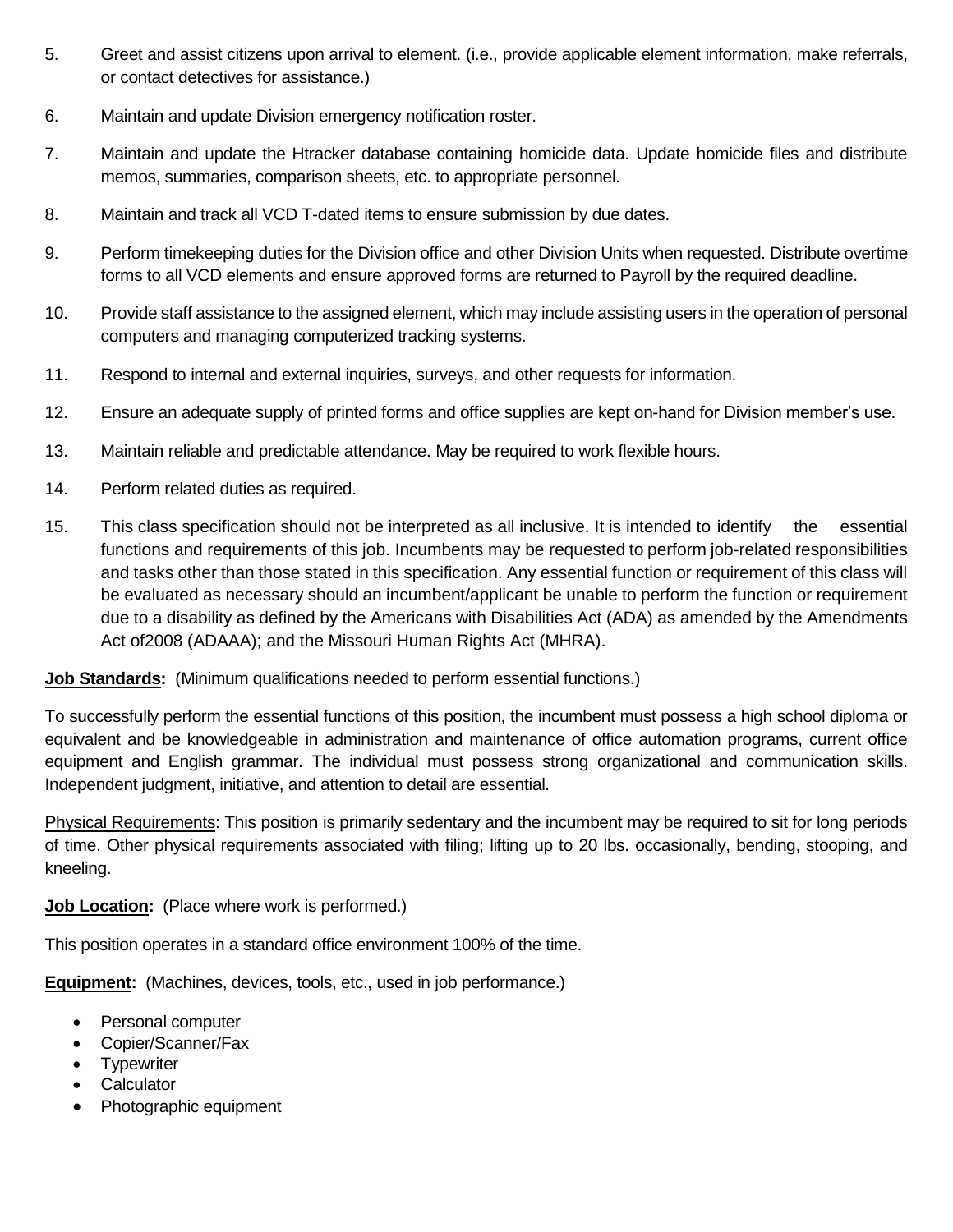- 5. Greet and assist citizens upon arrival to element. (i.e., provide applicable element information, make referrals, or contact detectives for assistance.)
- 6. Maintain and update Division emergency notification roster.
- 7. Maintain and update the Htracker database containing homicide data. Update homicide files and distribute memos, summaries, comparison sheets, etc. to appropriate personnel.
- 8. Maintain and track all VCD T-dated items to ensure submission by due dates.
- 9. Perform timekeeping duties for the Division office and other Division Units when requested. Distribute overtime forms to all VCD elements and ensure approved forms are returned to Payroll by the required deadline.
- 10. Provide staff assistance to the assigned element, which may include assisting users in the operation of personal computers and managing computerized tracking systems.
- 11. Respond to internal and external inquiries, surveys, and other requests for information.
- 12. Ensure an adequate supply of printed forms and office supplies are kept on-hand for Division member's use.
- 13. Maintain reliable and predictable attendance. May be required to work flexible hours.
- 14. Perform related duties as required.
- 15. This class specification should not be interpreted as all inclusive. It is intended to identify the essential functions and requirements of this job. Incumbents may be requested to perform job-related responsibilities and tasks other than those stated in this specification. Any essential function or requirement of this class will be evaluated as necessary should an incumbent/applicant be unable to perform the function or requirement due to a disability as defined by the Americans with Disabilities Act (ADA) as amended by the Amendments Act of2008 (ADAAA); and the Missouri Human Rights Act (MHRA).

**Job Standards:** (Minimum qualifications needed to perform essential functions.)

To successfully perform the essential functions of this position, the incumbent must possess a high school diploma or equivalent and be knowledgeable in administration and maintenance of office automation programs, current office equipment and English grammar. The individual must possess strong organizational and communication skills. Independent judgment, initiative, and attention to detail are essential.

Physical Requirements: This position is primarily sedentary and the incumbent may be required to sit for long periods of time. Other physical requirements associated with filing; lifting up to 20 lbs. occasionally, bending, stooping, and kneeling.

**Job Location:** (Place where work is performed.)

This position operates in a standard office environment 100% of the time.

**Equipment:** (Machines, devices, tools, etc., used in job performance.)

- Personal computer
- Copier/Scanner/Fax
- Typewriter
- **Calculator**
- Photographic equipment